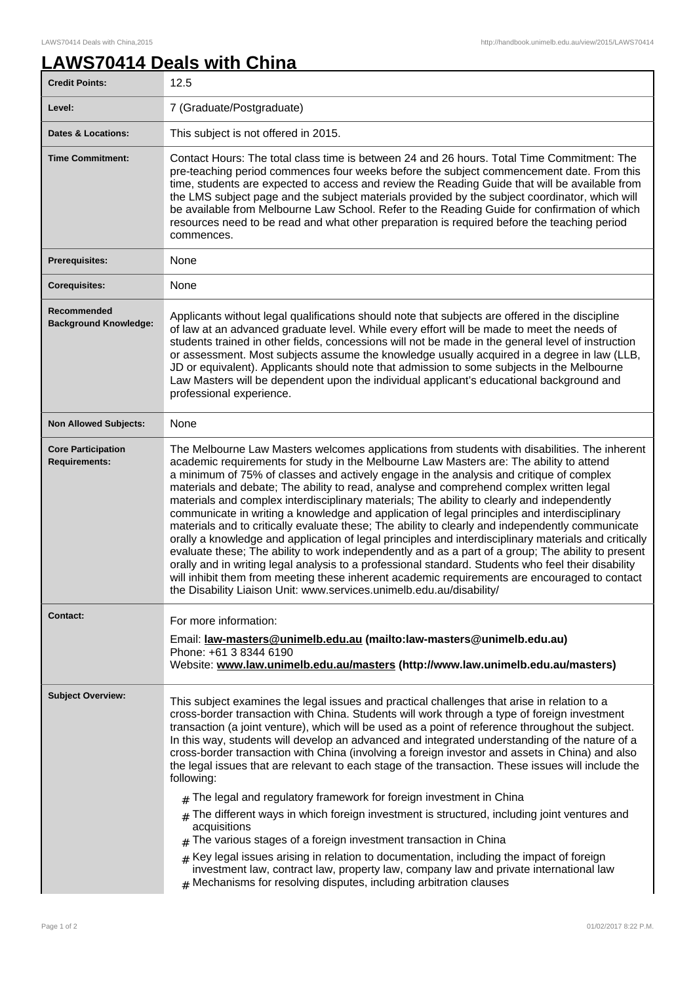٦

## **LAWS70414 Deals with China**

| <b>Credit Points:</b>                             | 12.5                                                                                                                                                                                                                                                                                                                                                                                                                                                                                                                                                                                                                                                                                                                                                                                                                                                                                                                                                                                                                                                                                                                                                                             |
|---------------------------------------------------|----------------------------------------------------------------------------------------------------------------------------------------------------------------------------------------------------------------------------------------------------------------------------------------------------------------------------------------------------------------------------------------------------------------------------------------------------------------------------------------------------------------------------------------------------------------------------------------------------------------------------------------------------------------------------------------------------------------------------------------------------------------------------------------------------------------------------------------------------------------------------------------------------------------------------------------------------------------------------------------------------------------------------------------------------------------------------------------------------------------------------------------------------------------------------------|
| Level:                                            | 7 (Graduate/Postgraduate)                                                                                                                                                                                                                                                                                                                                                                                                                                                                                                                                                                                                                                                                                                                                                                                                                                                                                                                                                                                                                                                                                                                                                        |
| <b>Dates &amp; Locations:</b>                     | This subject is not offered in 2015.                                                                                                                                                                                                                                                                                                                                                                                                                                                                                                                                                                                                                                                                                                                                                                                                                                                                                                                                                                                                                                                                                                                                             |
| <b>Time Commitment:</b>                           | Contact Hours: The total class time is between 24 and 26 hours. Total Time Commitment: The<br>pre-teaching period commences four weeks before the subject commencement date. From this<br>time, students are expected to access and review the Reading Guide that will be available from<br>the LMS subject page and the subject materials provided by the subject coordinator, which will<br>be available from Melbourne Law School. Refer to the Reading Guide for confirmation of which<br>resources need to be read and what other preparation is required before the teaching period<br>commences.                                                                                                                                                                                                                                                                                                                                                                                                                                                                                                                                                                          |
| <b>Prerequisites:</b>                             | None                                                                                                                                                                                                                                                                                                                                                                                                                                                                                                                                                                                                                                                                                                                                                                                                                                                                                                                                                                                                                                                                                                                                                                             |
| <b>Corequisites:</b>                              | None                                                                                                                                                                                                                                                                                                                                                                                                                                                                                                                                                                                                                                                                                                                                                                                                                                                                                                                                                                                                                                                                                                                                                                             |
| Recommended<br><b>Background Knowledge:</b>       | Applicants without legal qualifications should note that subjects are offered in the discipline<br>of law at an advanced graduate level. While every effort will be made to meet the needs of<br>students trained in other fields, concessions will not be made in the general level of instruction<br>or assessment. Most subjects assume the knowledge usually acquired in a degree in law (LLB,<br>JD or equivalent). Applicants should note that admission to some subjects in the Melbourne<br>Law Masters will be dependent upon the individual applicant's educational background and<br>professional experience.                                                                                                                                                                                                                                                                                                                                                                                                                                                                                                                                                         |
| <b>Non Allowed Subjects:</b>                      | None                                                                                                                                                                                                                                                                                                                                                                                                                                                                                                                                                                                                                                                                                                                                                                                                                                                                                                                                                                                                                                                                                                                                                                             |
| <b>Core Participation</b><br><b>Requirements:</b> | The Melbourne Law Masters welcomes applications from students with disabilities. The inherent<br>academic requirements for study in the Melbourne Law Masters are: The ability to attend<br>a minimum of 75% of classes and actively engage in the analysis and critique of complex<br>materials and debate; The ability to read, analyse and comprehend complex written legal<br>materials and complex interdisciplinary materials; The ability to clearly and independently<br>communicate in writing a knowledge and application of legal principles and interdisciplinary<br>materials and to critically evaluate these; The ability to clearly and independently communicate<br>orally a knowledge and application of legal principles and interdisciplinary materials and critically<br>evaluate these; The ability to work independently and as a part of a group; The ability to present<br>orally and in writing legal analysis to a professional standard. Students who feel their disability<br>will inhibit them from meeting these inherent academic requirements are encouraged to contact<br>the Disability Liaison Unit: www.services.unimelb.edu.au/disability/ |
| <b>Contact:</b>                                   | For more information:                                                                                                                                                                                                                                                                                                                                                                                                                                                                                                                                                                                                                                                                                                                                                                                                                                                                                                                                                                                                                                                                                                                                                            |
|                                                   | Email: <u>law-masters@unimelb.edu.au</u> (mailto:law-masters@unimelb.edu.au)<br>Phone: +61 3 8344 6190<br>Website: www.law.unimelb.edu.au/masters (http://www.law.unimelb.edu.au/masters)                                                                                                                                                                                                                                                                                                                                                                                                                                                                                                                                                                                                                                                                                                                                                                                                                                                                                                                                                                                        |
| <b>Subject Overview:</b>                          | This subject examines the legal issues and practical challenges that arise in relation to a<br>cross-border transaction with China. Students will work through a type of foreign investment<br>transaction (a joint venture), which will be used as a point of reference throughout the subject.<br>In this way, students will develop an advanced and integrated understanding of the nature of a<br>cross-border transaction with China (involving a foreign investor and assets in China) and also<br>the legal issues that are relevant to each stage of the transaction. These issues will include the<br>following:<br>$#$ The legal and regulatory framework for foreign investment in China<br>The different ways in which foreign investment is structured, including joint ventures and<br>#<br>acquisitions<br>The various stages of a foreign investment transaction in China<br>$*$ Key legal issues arising in relation to documentation, including the impact of foreign<br>investment law, contract law, property law, company law and private international law<br>Mechanisms for resolving disputes, including arbitration clauses                             |